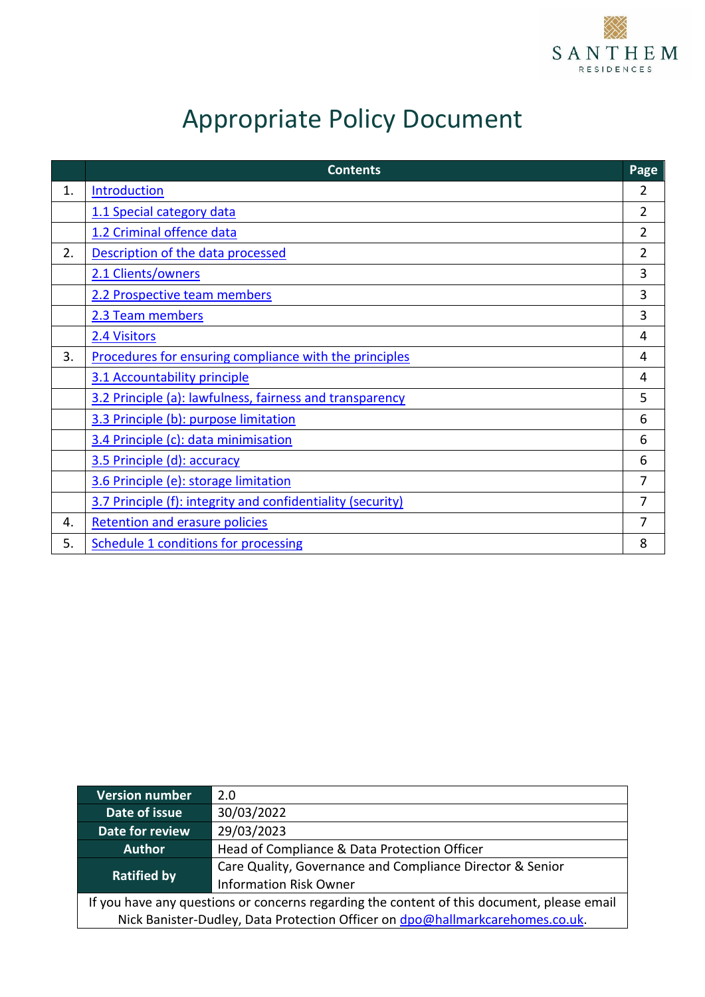

# Appropriate Policy Document

|    | <b>Contents</b>                                             | Page           |
|----|-------------------------------------------------------------|----------------|
| 1. | Introduction                                                | 2              |
|    | 1.1 Special category data                                   | 2              |
|    | 1.2 Criminal offence data                                   | 2              |
| 2. | Description of the data processed                           | $\overline{2}$ |
|    | 2.1 Clients/owners                                          | 3              |
|    | 2.2 Prospective team members                                | 3              |
|    | 2.3 Team members                                            | 3              |
|    | 2.4 Visitors                                                | 4              |
| 3. | Procedures for ensuring compliance with the principles      | 4              |
|    | 3.1 Accountability principle                                | 4              |
|    | 3.2 Principle (a): lawfulness, fairness and transparency    | 5              |
|    | 3.3 Principle (b): purpose limitation                       | 6              |
|    | 3.4 Principle (c): data minimisation                        | 6              |
|    | 3.5 Principle (d): accuracy                                 | 6              |
|    | 3.6 Principle (e): storage limitation                       | $\overline{7}$ |
|    | 3.7 Principle (f): integrity and confidentiality (security) | 7              |
| 4. | <b>Retention and erasure policies</b>                       | 7              |
| 5. | <b>Schedule 1 conditions for processing</b>                 | 8              |

| <b>Version number</b>                                                                      | 2.0                                                       |  |  |  |  |  |
|--------------------------------------------------------------------------------------------|-----------------------------------------------------------|--|--|--|--|--|
| Date of issue                                                                              | 30/03/2022                                                |  |  |  |  |  |
| Date for review                                                                            | 29/03/2023                                                |  |  |  |  |  |
| <b>Author</b>                                                                              | Head of Compliance & Data Protection Officer              |  |  |  |  |  |
| <b>Ratified by</b>                                                                         | Care Quality, Governance and Compliance Director & Senior |  |  |  |  |  |
|                                                                                            | <b>Information Risk Owner</b>                             |  |  |  |  |  |
| If you have any questions or concerns regarding the content of this document, please email |                                                           |  |  |  |  |  |
| Nick Banister-Dudley, Data Protection Officer on dpo@hallmarkcarehomes.co.uk.              |                                                           |  |  |  |  |  |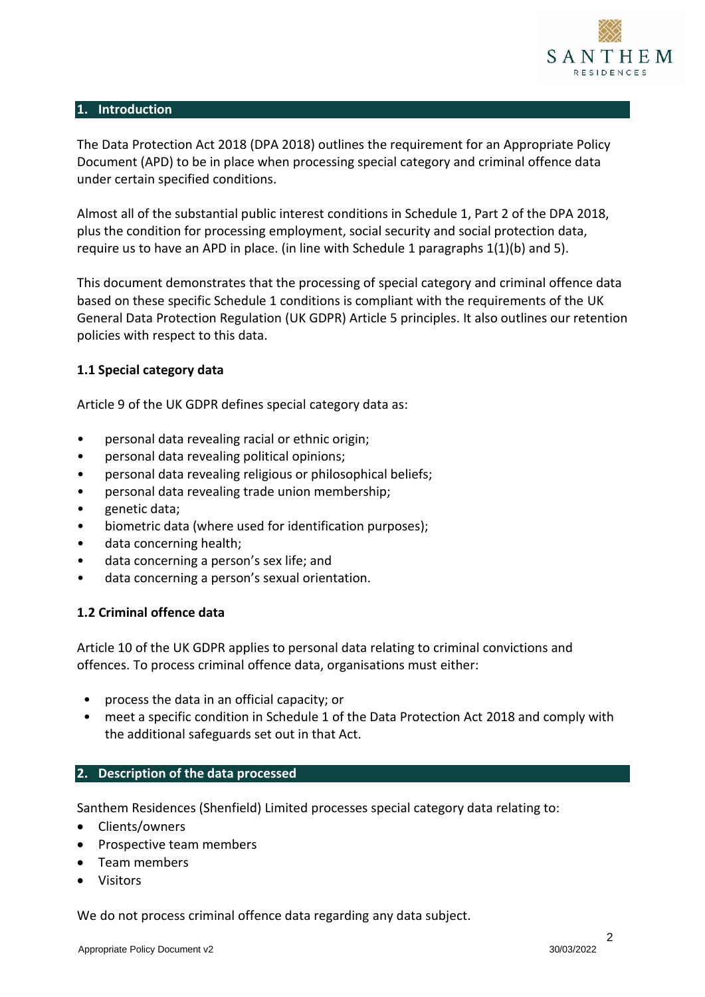

#### <span id="page-1-0"></span>**1. Introduction**

The Data Protection Act 2018 (DPA 2018) outlines the requirement for an Appropriate Policy Document (APD) to be in place when processing special category and criminal offence data under certain specified conditions.

Almost all of the substantial public interest conditions in Schedule 1, Part 2 of the DPA 2018, plus the condition for processing employment, social security and social protection data, require us to have an APD in place. (in line with Schedule 1 paragraphs  $1(1)(b)$  and 5).

This document demonstrates that the processing of special category and criminal offence data based on these specific Schedule 1 conditions is compliant with the requirements of the UK General Data Protection Regulation (UK GDPR) Article 5 principles. It also outlines our retention policies with respect to this data.

#### <span id="page-1-1"></span>**1.1 Special category data**

Article 9 of the UK GDPR defines special category data as:

- personal data revealing racial or ethnic origin;
- personal data revealing political opinions;
- personal data revealing religious or philosophical beliefs;
- personal data revealing trade union membership;
- genetic data;
- biometric data (where used for identification purposes);
- data concerning health;
- data concerning a person's sex life; and
- data concerning a person's sexual orientation.

#### <span id="page-1-2"></span>**1.2 Criminal offence data**

Article 10 of the UK GDPR applies to personal data relating to criminal convictions and offences. To process criminal offence data, organisations must either:

- process the data in an official capacity; or
- meet a specific condition in Schedule 1 of the Data Protection Act 2018 and comply with the additional safeguards set out in that Act.

#### <span id="page-1-3"></span>**2. Description of the data processed**

Santhem Residences (Shenfield) Limited processes special category data relating to:

- Clients/owners
- Prospective team members
- Team members
- Visitors

We do not process criminal offence data regarding any data subject.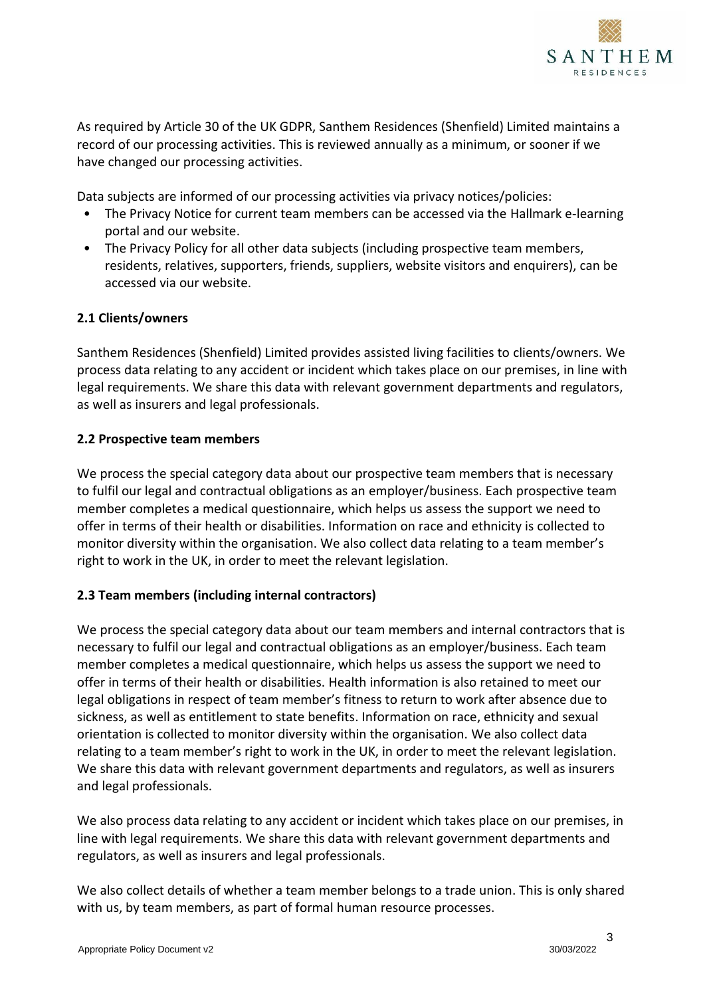

As required by Article 30 of the UK GDPR, Santhem Residences (Shenfield) Limited maintains a record of our processing activities. This is reviewed annually as a minimum, or sooner if we have changed our processing activities.

Data subjects are informed of our processing activities via privacy notices/policies:

- The Privacy Notice for current team members can be accessed via the Hallmark e-learning portal and our website.
- The Privacy Policy for all other data subjects (including prospective team members, residents, relatives, supporters, friends, suppliers, website visitors and enquirers), can be accessed via our website.

## <span id="page-2-0"></span>**2.1 Clients/owners**

Santhem Residences (Shenfield) Limited provides assisted living facilities to clients/owners. We process data relating to any accident or incident which takes place on our premises, in line with legal requirements. We share this data with relevant government departments and regulators, as well as insurers and legal professionals.

## <span id="page-2-1"></span>**2.2 Prospective team members**

We process the special category data about our prospective team members that is necessary to fulfil our legal and contractual obligations as an employer/business. Each prospective team member completes a medical questionnaire, which helps us assess the support we need to offer in terms of their health or disabilities. Information on race and ethnicity is collected to monitor diversity within the organisation. We also collect data relating to a team member's right to work in the UK, in order to meet the relevant legislation.

# <span id="page-2-2"></span>**2.3 Team members (including internal contractors)**

We process the special category data about our team members and internal contractors that is necessary to fulfil our legal and contractual obligations as an employer/business. Each team member completes a medical questionnaire, which helps us assess the support we need to offer in terms of their health or disabilities. Health information is also retained to meet our legal obligations in respect of team member's fitness to return to work after absence due to sickness, as well as entitlement to state benefits. Information on race, ethnicity and sexual orientation is collected to monitor diversity within the organisation. We also collect data relating to a team member's right to work in the UK, in order to meet the relevant legislation. We share this data with relevant government departments and regulators, as well as insurers and legal professionals.

We also process data relating to any accident or incident which takes place on our premises, in line with legal requirements. We share this data with relevant government departments and regulators, as well as insurers and legal professionals.

We also collect details of whether a team member belongs to a trade union. This is only shared with us, by team members, as part of formal human resource processes.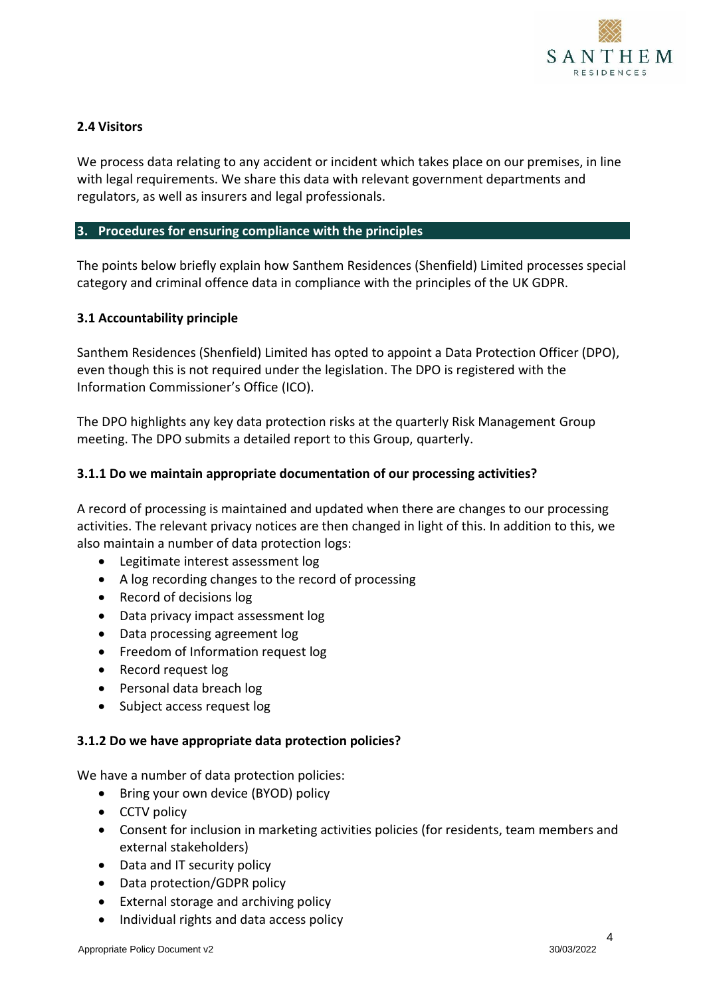

## <span id="page-3-0"></span>**2.4 Visitors**

We process data relating to any accident or incident which takes place on our premises, in line with legal requirements. We share this data with relevant government departments and regulators, as well as insurers and legal professionals.

#### <span id="page-3-1"></span>**3. Procedures for ensuring compliance with the principles**

The points below briefly explain how Santhem Residences (Shenfield) Limited processes special category and criminal offence data in compliance with the principles of the UK GDPR.

#### <span id="page-3-2"></span>**3.1 Accountability principle**

Santhem Residences (Shenfield) Limited has opted to appoint a Data Protection Officer (DPO), even though this is not required under the legislation. The DPO is registered with the Information Commissioner's Office (ICO).

The DPO highlights any key data protection risks at the quarterly Risk Management Group meeting. The DPO submits a detailed report to this Group, quarterly.

#### **3.1.1 Do we maintain appropriate documentation of our processing activities?**

A record of processing is maintained and updated when there are changes to our processing activities. The relevant privacy notices are then changed in light of this. In addition to this, we also maintain a number of data protection logs:

- Legitimate interest assessment log
- A log recording changes to the record of processing
- Record of decisions log
- Data privacy impact assessment log
- Data processing agreement log
- Freedom of Information request log
- Record request log
- Personal data breach log
- Subject access request log

#### **3.1.2 Do we have appropriate data protection policies?**

We have a number of data protection policies:

- Bring your own device (BYOD) policy
- CCTV policy
- Consent for inclusion in marketing activities policies (for residents, team members and external stakeholders)
- Data and IT security policy
- Data protection/GDPR policy
- External storage and archiving policy
- Individual rights and data access policy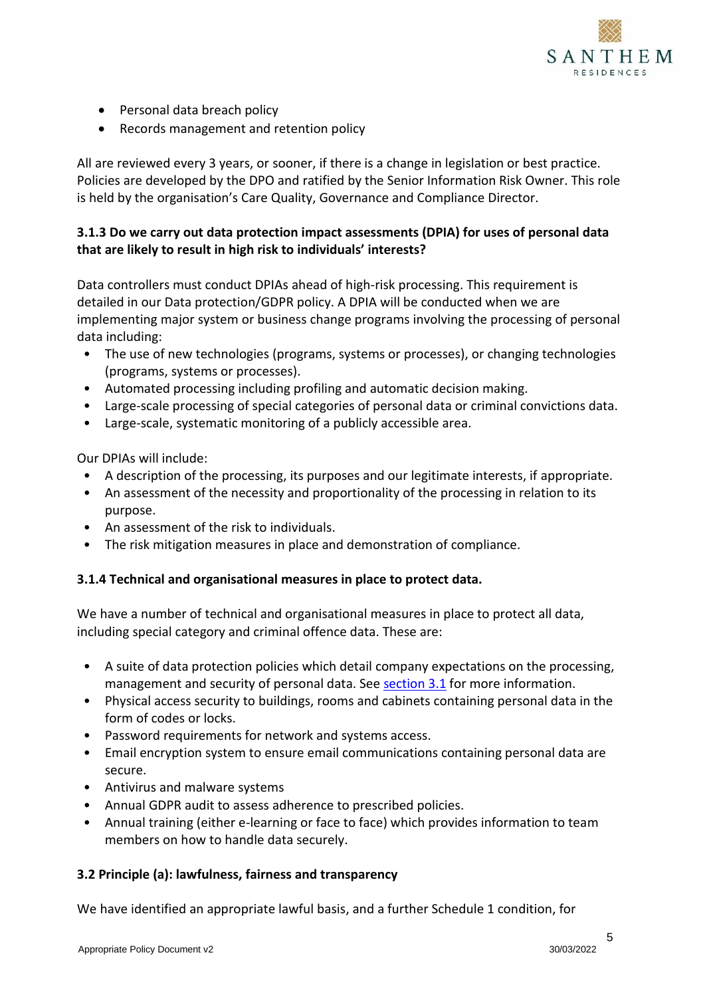

- Personal data breach policy
- Records management and retention policy

All are reviewed every 3 years, or sooner, if there is a change in legislation or best practice. Policies are developed by the DPO and ratified by the Senior Information Risk Owner. This role is held by the organisation's Care Quality, Governance and Compliance Director.

# **3.1.3 Do we carry out data protection impact assessments (DPIA) for uses of personal data that are likely to result in high risk to individuals' interests?**

Data controllers must conduct DPIAs ahead of high-risk processing. This requirement is detailed in our Data protection/GDPR policy. A DPIA will be conducted when we are implementing major system or business change programs involving the processing of personal data including:

- The use of new technologies (programs, systems or processes), or changing technologies (programs, systems or processes).
- Automated processing including profiling and automatic decision making.
- Large-scale processing of special categories of personal data or criminal convictions data.
- Large-scale, systematic monitoring of a publicly accessible area.

Our DPIAs will include:

- A description of the processing, its purposes and our legitimate interests, if appropriate.
- An assessment of the necessity and proportionality of the processing in relation to its purpose.
- An assessment of the risk to individuals.
- The risk mitigation measures in place and demonstration of compliance.

# **3.1.4 Technical and organisational measures in place to protect data.**

We have a number of technical and organisational measures in place to protect all data, including special category and criminal offence data. These are:

- A suite of data protection policies which detail company expectations on the processing, management and security of personal data. See [section 3.1](#page-3-2) for more information.
- Physical access security to buildings, rooms and cabinets containing personal data in the form of codes or locks.
- Password requirements for network and systems access.
- Email encryption system to ensure email communications containing personal data are secure.
- Antivirus and malware systems
- Annual GDPR audit to assess adherence to prescribed policies.
- Annual training (either e-learning or face to face) which provides information to team members on how to handle data securely.

#### <span id="page-4-0"></span>**3.2 Principle (a): lawfulness, fairness and transparency**

We have identified an appropriate lawful basis, and a further Schedule 1 condition, for

5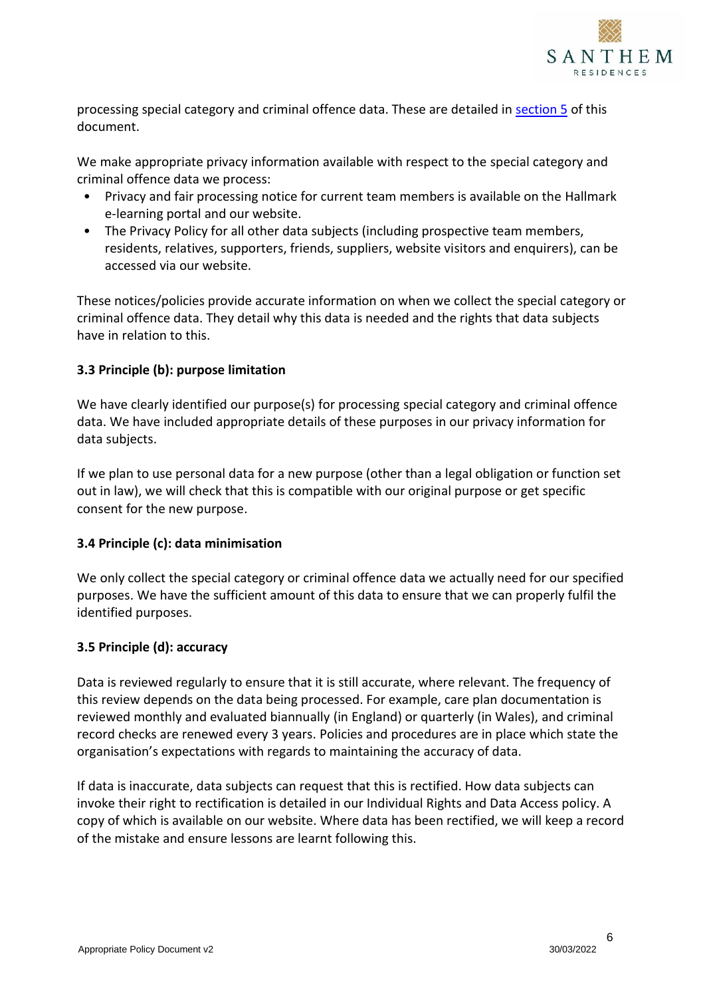

processing special category and criminal offence data. These are detailed in [section 5](#page-7-0) of this document.

We make appropriate privacy information available with respect to the special category and criminal offence data we process:

- Privacy and fair processing notice for current team members is available on the Hallmark e-learning portal and our website.
- The Privacy Policy for all other data subjects (including prospective team members, residents, relatives, supporters, friends, suppliers, website visitors and enquirers), can be accessed via our website.

These notices/policies provide accurate information on when we collect the special category or criminal offence data. They detail why this data is needed and the rights that data subjects have in relation to this.

# <span id="page-5-0"></span>**3.3 Principle (b): purpose limitation**

We have clearly identified our purpose(s) for processing special category and criminal offence data. We have included appropriate details of these purposes in our privacy information for data subjects.

If we plan to use personal data for a new purpose (other than a legal obligation or function set out in law), we will check that this is compatible with our original purpose or get specific consent for the new purpose.

#### <span id="page-5-1"></span>**3.4 Principle (c): data minimisation**

We only collect the special category or criminal offence data we actually need for our specified purposes. We have the sufficient amount of this data to ensure that we can properly fulfil the identified purposes.

#### <span id="page-5-2"></span>**3.5 Principle (d): accuracy**

Data is reviewed regularly to ensure that it is still accurate, where relevant. The frequency of this review depends on the data being processed. For example, care plan documentation is reviewed monthly and evaluated biannually (in England) or quarterly (in Wales), and criminal record checks are renewed every 3 years. Policies and procedures are in place which state the organisation's expectations with regards to maintaining the accuracy of data.

If data is inaccurate, data subjects can request that this is rectified. How data subjects can invoke their right to rectification is detailed in our Individual Rights and Data Access policy. A copy of which is available on our website. Where data has been rectified, we will keep a record of the mistake and ensure lessons are learnt following this.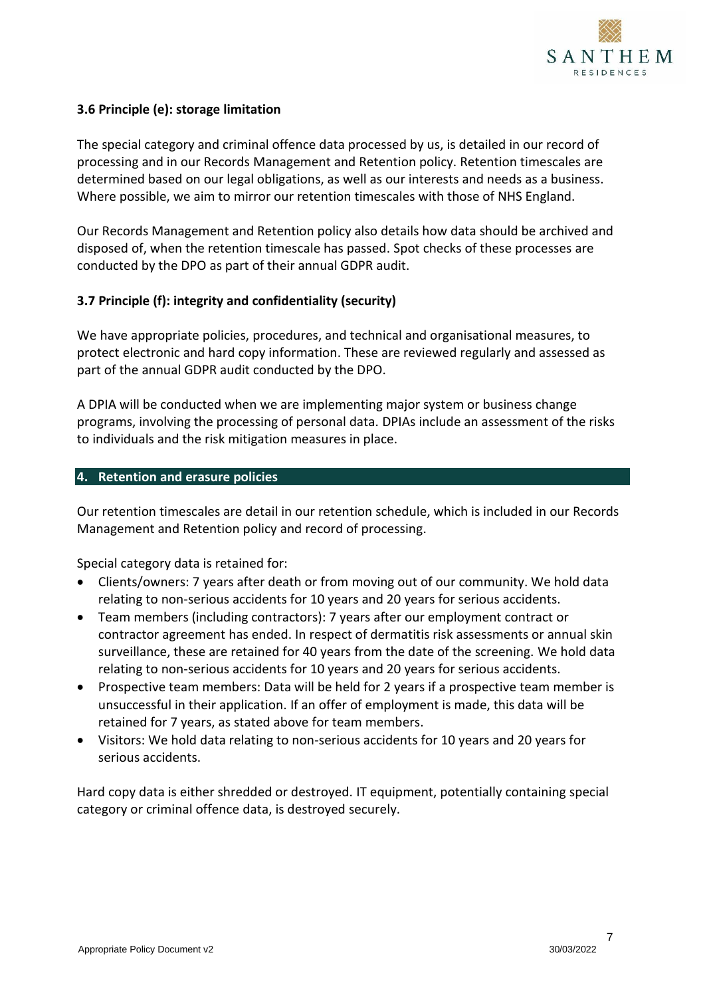

### <span id="page-6-0"></span>**3.6 Principle (e): storage limitation**

The special category and criminal offence data processed by us, is detailed in our record of processing and in our Records Management and Retention policy. Retention timescales are determined based on our legal obligations, as well as our interests and needs as a business. Where possible, we aim to mirror our retention timescales with those of NHS England.

Our Records Management and Retention policy also details how data should be archived and disposed of, when the retention timescale has passed. Spot checks of these processes are conducted by the DPO as part of their annual GDPR audit.

#### <span id="page-6-1"></span>**3.7 Principle (f): integrity and confidentiality (security)**

We have appropriate policies, procedures, and technical and organisational measures, to protect electronic and hard copy information. These are reviewed regularly and assessed as part of the annual GDPR audit conducted by the DPO.

A DPIA will be conducted when we are implementing major system or business change programs, involving the processing of personal data. DPIAs include an assessment of the risks to individuals and the risk mitigation measures in place.

#### <span id="page-6-2"></span>**4. Retention and erasure policies**

Our retention timescales are detail in our retention schedule, which is included in our Records Management and Retention policy and record of processing.

Special category data is retained for:

- Clients/owners: 7 years after death or from moving out of our community. We hold data relating to non-serious accidents for 10 years and 20 years for serious accidents.
- Team members (including contractors): 7 years after our employment contract or contractor agreement has ended. In respect of dermatitis risk assessments or annual skin surveillance, these are retained for 40 years from the date of the screening. We hold data relating to non-serious accidents for 10 years and 20 years for serious accidents.
- Prospective team members: Data will be held for 2 years if a prospective team member is unsuccessful in their application. If an offer of employment is made, this data will be retained for 7 years, as stated above for team members.
- Visitors: We hold data relating to non-serious accidents for 10 years and 20 years for serious accidents.

Hard copy data is either shredded or destroyed. IT equipment, potentially containing special category or criminal offence data, is destroyed securely.

7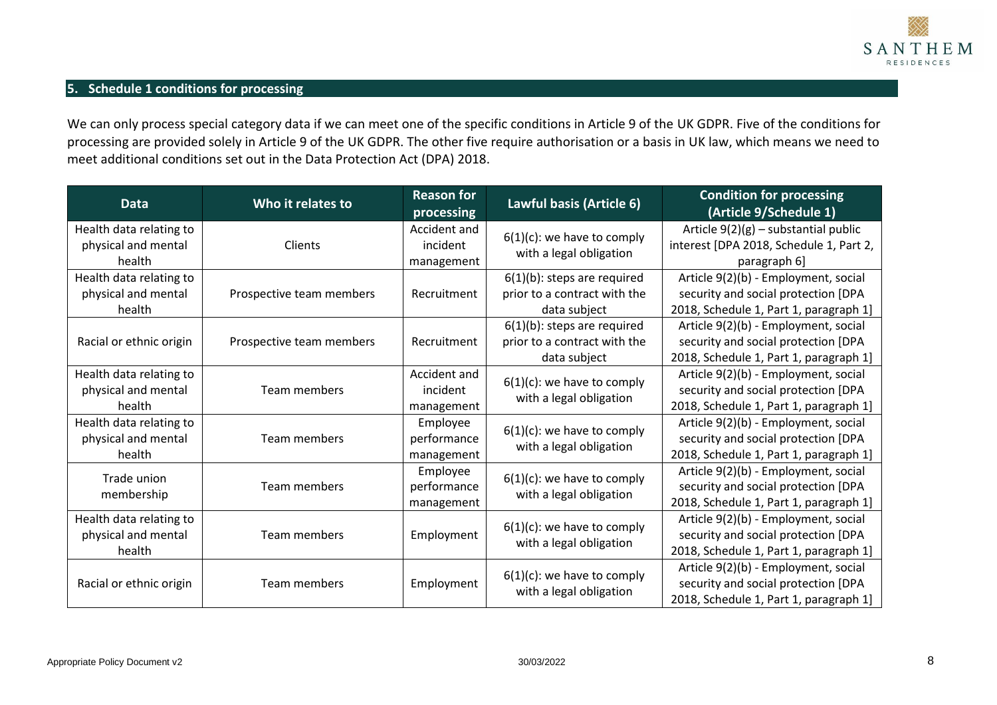

# **5. Schedule 1 conditions for processing**

We can only process special category data if we can meet one of the specific conditions in Article 9 of the UK GDPR. Five of the conditions for processing are provided solely in Article 9 of the UK GDPR. The other five require authorisation or a basis in UK law, which means we need to meet additional conditions set out in the Data Protection Act (DPA) 2018.

<span id="page-7-0"></span>

| <b>Data</b>                                              | Who it relates to        | <b>Reason for</b><br>processing        | Lawful basis (Article 6)                                                       | <b>Condition for processing</b><br>(Article 9/Schedule 1)                                                             |
|----------------------------------------------------------|--------------------------|----------------------------------------|--------------------------------------------------------------------------------|-----------------------------------------------------------------------------------------------------------------------|
| Health data relating to<br>physical and mental<br>health | Clients                  | Accident and<br>incident<br>management | $6(1)(c)$ : we have to comply<br>with a legal obligation                       | Article $9(2)(g)$ – substantial public<br>interest [DPA 2018, Schedule 1, Part 2,<br>paragraph 6]                     |
| Health data relating to<br>physical and mental<br>health | Prospective team members | Recruitment                            | $6(1)(b)$ : steps are required<br>prior to a contract with the<br>data subject | Article 9(2)(b) - Employment, social<br>security and social protection [DPA<br>2018, Schedule 1, Part 1, paragraph 1] |
| Racial or ethnic origin                                  | Prospective team members | Recruitment                            | $6(1)(b)$ : steps are required<br>prior to a contract with the<br>data subject | Article 9(2)(b) - Employment, social<br>security and social protection [DPA<br>2018, Schedule 1, Part 1, paragraph 1] |
| Health data relating to<br>physical and mental<br>health | Team members             | Accident and<br>incident<br>management | $6(1)(c)$ : we have to comply<br>with a legal obligation                       | Article 9(2)(b) - Employment, social<br>security and social protection [DPA<br>2018, Schedule 1, Part 1, paragraph 1] |
| Health data relating to<br>physical and mental<br>health | Team members             | Employee<br>performance<br>management  | $6(1)(c)$ : we have to comply<br>with a legal obligation                       | Article 9(2)(b) - Employment, social<br>security and social protection [DPA<br>2018, Schedule 1, Part 1, paragraph 1] |
| Trade union<br>membership                                | Team members             | Employee<br>performance<br>management  | $6(1)(c)$ : we have to comply<br>with a legal obligation                       | Article 9(2)(b) - Employment, social<br>security and social protection [DPA<br>2018, Schedule 1, Part 1, paragraph 1] |
| Health data relating to<br>physical and mental<br>health | Team members             | Employment                             | $6(1)(c)$ : we have to comply<br>with a legal obligation                       | Article 9(2)(b) - Employment, social<br>security and social protection [DPA<br>2018, Schedule 1, Part 1, paragraph 1] |
| Racial or ethnic origin                                  | Team members             | Employment                             | $6(1)(c)$ : we have to comply<br>with a legal obligation                       | Article 9(2)(b) - Employment, social<br>security and social protection [DPA<br>2018, Schedule 1, Part 1, paragraph 1] |